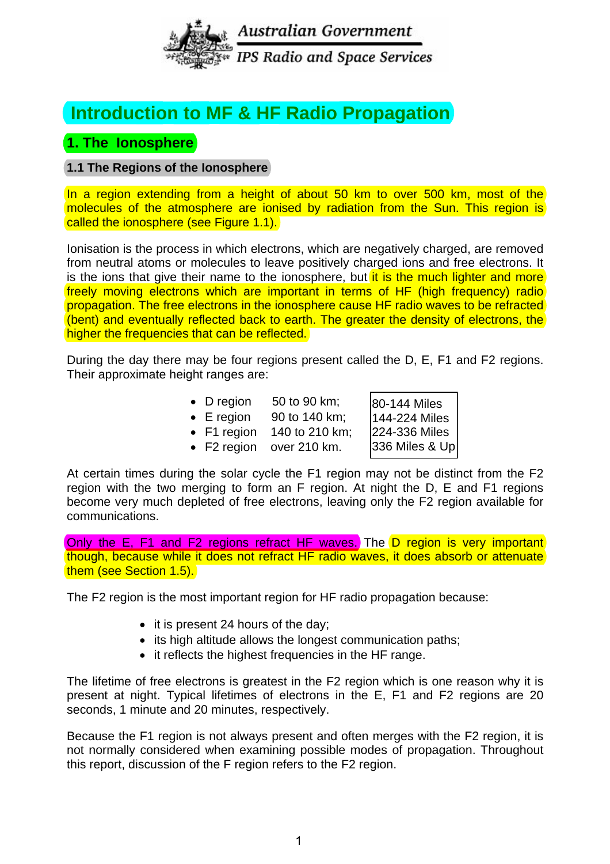

# **Introduction to HF Radio Propagation Introduction to MF & HF Radio Propagation**

# **1. The Ionosphere**

## **1.1 The Regions of the Ionosphere**

In a region extending from a height of about 50 km to over 500 km, most of the molecules of the atmosphere are ionised by radiation from the Sun. This region is called the ionosphere (see Figure 1.1).

Ionisation is the process in which electrons, which are negatively charged, are removed from neutral atoms or molecules to leave positively charged ions and free electrons. It is the ions that give their name to the ionosphere, but it is the much lighter and more freely moving electrons which are important in terms of HF (high frequency) radio propagation. The free electrons in the ionosphere cause HF radio waves to be refracted (bent) and eventually reflected back to earth. The greater the density of electrons, the higher the frequencies that can be reflected.

During the day there may be four regions present called the D, E, F1 and F2 regions. Their approximate height ranges are:

| $\bullet$ D region  | 50 to 90 km;   |                               |
|---------------------|----------------|-------------------------------|
| $\bullet$ E region  | 90 to 140 km;  | 80-144 Miles<br>144-224 Miles |
| $\bullet$ F1 region | 140 to 210 km; | 224-336 Miles                 |
| $\bullet$ F2 region | over 210 km.   | 336 Miles & Up                |
|                     |                |                               |

At certain times during the solar cycle the F1 region may not be distinct from the F2 region with the two merging to form an F region. At night the D, E and F1 regions become very much depleted of free electrons, leaving only the F2 region available for communications.

Only the E, F1 and F2 regions refract HF waves.) The D region is very important though, because while it does not refract HF radio waves, it does absorb or attenuate them (see Section 1.5).

The F2 region is the most important region for HF radio propagation because:

- it is present 24 hours of the day:
- its high altitude allows the longest communication paths;
- it reflects the highest frequencies in the HF range.

The lifetime of free electrons is greatest in the F2 region which is one reason why it is present at night. Typical lifetimes of electrons in the E, F1 and F2 regions are 20 seconds, 1 minute and 20 minutes, respectively.

Because the F1 region is not always present and often merges with the F2 region, it is not normally considered when examining possible modes of propagation. Throughout this report, discussion of the F region refers to the F2 region.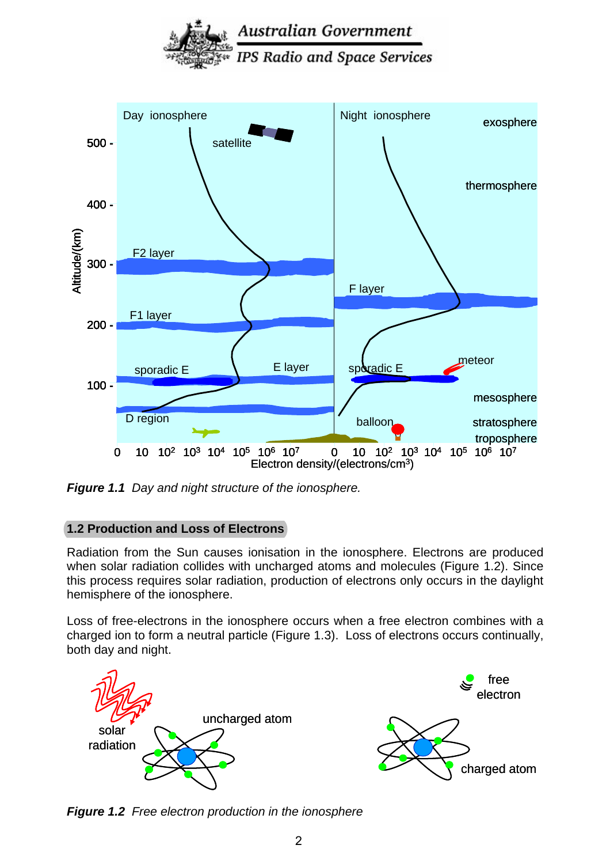

Australian Government

*Figure 1.1 Day and night structure of the ionosphere.*

# **1.2 Production and Loss of Electrons**

Radiation from the Sun causes ionisation in the ionosphere. Electrons are produced when solar radiation collides with uncharged atoms and molecules (Figure 1.2). Since this process requires solar radiation, production of electrons only occurs in the daylight hemisphere of the ionosphere.

Loss of free-electrons in the ionosphere occurs when a free electron combines with a charged ion to form a neutral particle (Figure 1.3). Loss of electrons occurs continually, both day and night.



*Figure 1.2 Free electron production in the ionosphere*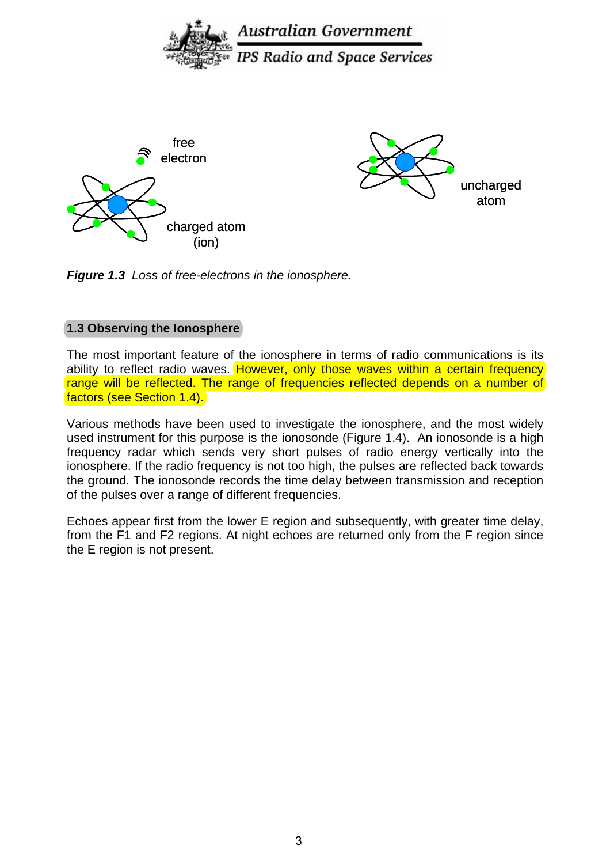

*Figure 1.3 Loss of free-electrons in the ionosphere.* 

## **1.3 Observing the Ionosphere**

The most important feature of the ionosphere in terms of radio communications is its ability to reflect radio waves. However, only those waves within a certain frequency range will be reflected. The range of frequencies reflected depends on a number of factors (see Section 1.4).

Various methods have been used to investigate the ionosphere, and the most widely used instrument for this purpose is the ionosonde (Figure 1.4). An ionosonde is a high frequency radar which sends very short pulses of radio energy vertically into the ionosphere. If the radio frequency is not too high, the pulses are reflected back towards the ground. The ionosonde records the time delay between transmission and reception of the pulses over a range of different frequencies.

Echoes appear first from the lower E region and subsequently, with greater time delay, from the F1 and F2 regions. At night echoes are returned only from the F region since the E region is not present.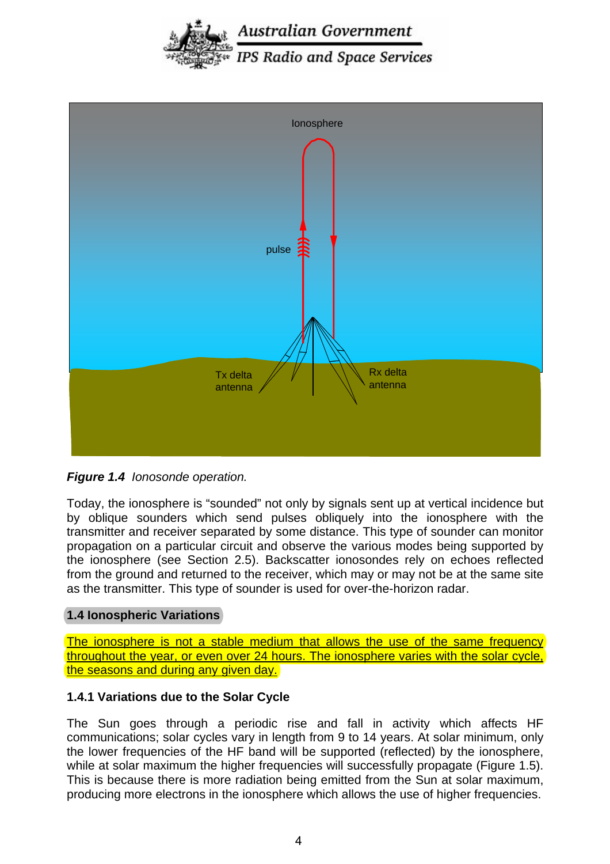



*Figure 1.4 Ionosonde operation.*

Today, the ionosphere is "sounded" not only by signals sent up at vertical incidence but by oblique sounders which send pulses obliquely into the ionosphere with the transmitter and receiver separated by some distance. This type of sounder can monitor propagation on a particular circuit and observe the various modes being supported by the ionosphere (see Section 2.5). Backscatter ionosondes rely on echoes reflected from the ground and returned to the receiver, which may or may not be at the same site as the transmitter. This type of sounder is used for over-the-horizon radar.

#### **1.4 Ionospheric Variations**

The ionosphere is not a stable medium that allows the use of the same frequency throughout the year, or even over 24 hours. The ionosphere varies with the solar cycle, the seasons and during any given day.

#### **1.4.1 Variations due to the Solar Cycle**

The Sun goes through a periodic rise and fall in activity which affects HF communications; solar cycles vary in length from 9 to 14 years. At solar minimum, only the lower frequencies of the HF band will be supported (reflected) by the ionosphere, while at solar maximum the higher frequencies will successfully propagate (Figure 1.5). This is because there is more radiation being emitted from the Sun at solar maximum, producing more electrons in the ionosphere which allows the use of higher frequencies.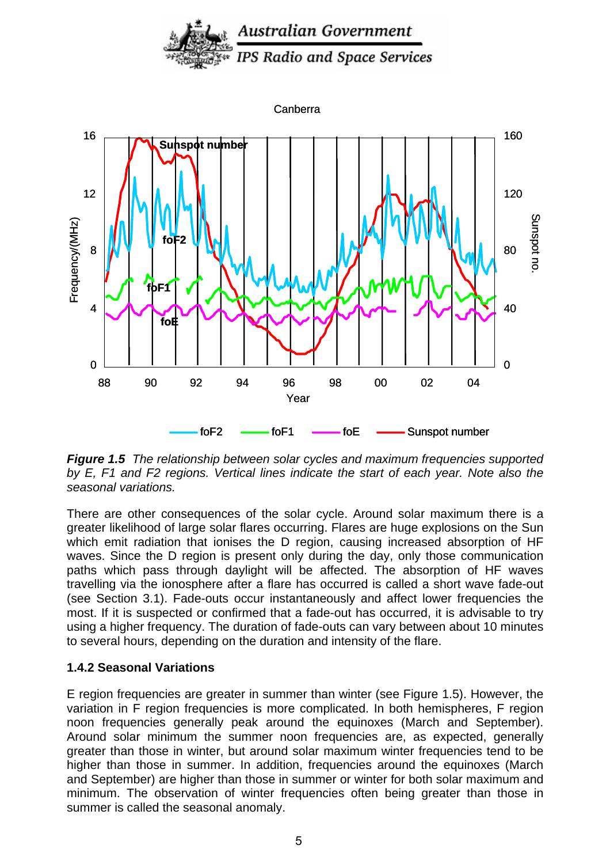



*Figure 1.5 The relationship between solar cycles and maximum frequencies supported by E, F1 and F2 regions. Vertical lines indicate the start of each year. Note also the seasonal variations.* 

There are other consequences of the solar cycle. Around solar maximum there is a greater likelihood of large solar flares occurring. Flares are huge explosions on the Sun which emit radiation that ionises the D region, causing increased absorption of HF waves. Since the D region is present only during the day, only those communication paths which pass through daylight will be affected. The absorption of HF waves travelling via the ionosphere after a flare has occurred is called a short wave fade-out (see Section 3.1). Fade-outs occur instantaneously and affect lower frequencies the most. If it is suspected or confirmed that a fade-out has occurred, it is advisable to try using a higher frequency. The duration of fade-outs can vary between about 10 minutes to several hours, depending on the duration and intensity of the flare.

#### **1.4.2 Seasonal Variations**

E region frequencies are greater in summer than winter (see Figure 1.5). However, the variation in F region frequencies is more complicated. In both hemispheres, F region noon frequencies generally peak around the equinoxes (March and September). Around solar minimum the summer noon frequencies are, as expected, generally greater than those in winter, but around solar maximum winter frequencies tend to be higher than those in summer. In addition, frequencies around the equinoxes (March and September) are higher than those in summer or winter for both solar maximum and minimum. The observation of winter frequencies often being greater than those in summer is called the seasonal anomaly.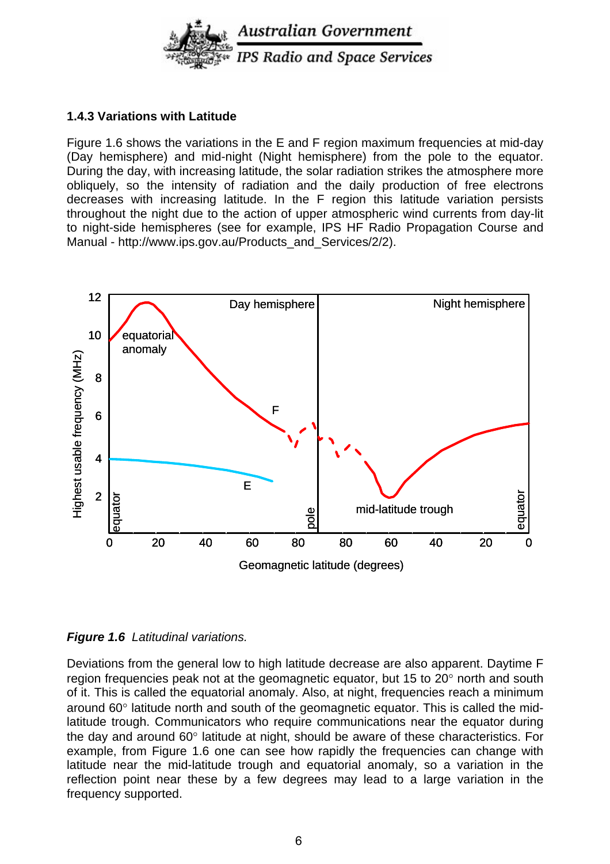

#### **1.4.3 Variations with Latitude**

Figure 1.6 shows the variations in the E and F region maximum frequencies at mid-day (Day hemisphere) and mid-night (Night hemisphere) from the pole to the equator. During the day, with increasing latitude, the solar radiation strikes the atmosphere more obliquely, so the intensity of radiation and the daily production of free electrons decreases with increasing latitude. In the F region this latitude variation persists throughout the night due to the action of upper atmospheric wind currents from day-lit to night-side hemispheres (see for example, IPS HF Radio Propagation Course and Manual - http://www.ips.gov.au/Products\_and\_Services/2/2).



*Figure 1.6 Latitudinal variations.* 

Deviations from the general low to high latitude decrease are also apparent. Daytime F region frequencies peak not at the geomagnetic equator, but 15 to 20° north and south of it. This is called the equatorial anomaly. Also, at night, frequencies reach a minimum around 60° latitude north and south of the geomagnetic equator. This is called the midlatitude trough. Communicators who require communications near the equator during the day and around 60° latitude at night, should be aware of these characteristics. For example, from Figure 1.6 one can see how rapidly the frequencies can change with latitude near the mid-latitude trough and equatorial anomaly, so a variation in the reflection point near these by a few degrees may lead to a large variation in the frequency supported.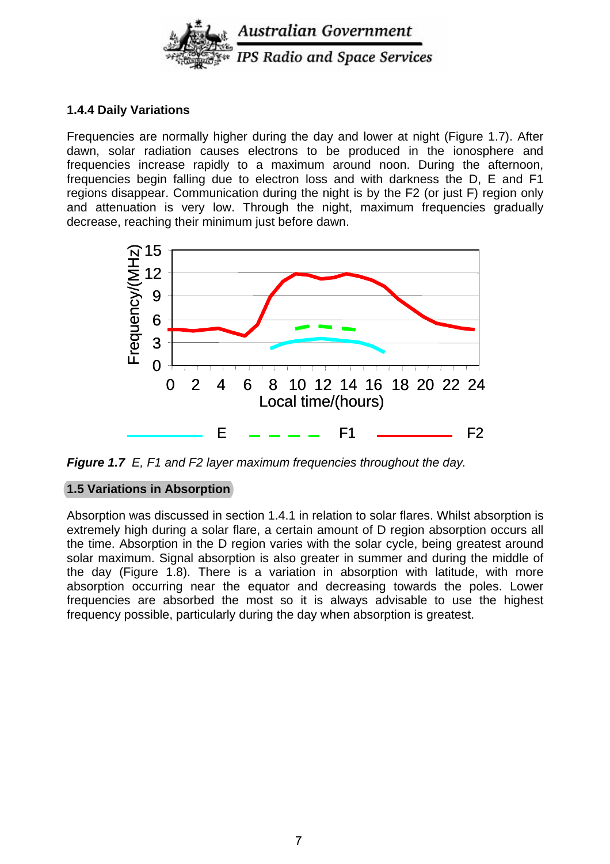

### **1.4.4 Daily Variations**

Frequencies are normally higher during the day and lower at night (Figure 1.7). After dawn, solar radiation causes electrons to be produced in the ionosphere and frequencies increase rapidly to a maximum around noon. During the afternoon, frequencies begin falling due to electron loss and with darkness the D, E and F1 regions disappear. Communication during the night is by the F2 (or just F) region only and attenuation is very low. Through the night, maximum frequencies gradually decrease, reaching their minimum just before dawn.



*Figure 1.7 E, F1 and F2 layer maximum frequencies throughout the day.*

# **1.5 Variations in Absorption**

Absorption was discussed in section 1.4.1 in relation to solar flares. Whilst absorption is extremely high during a solar flare, a certain amount of D region absorption occurs all the time. Absorption in the D region varies with the solar cycle, being greatest around solar maximum. Signal absorption is also greater in summer and during the middle of the day (Figure 1.8). There is a variation in absorption with latitude, with more absorption occurring near the equator and decreasing towards the poles. Lower frequencies are absorbed the most so it is always advisable to use the highest frequency possible, particularly during the day when absorption is greatest.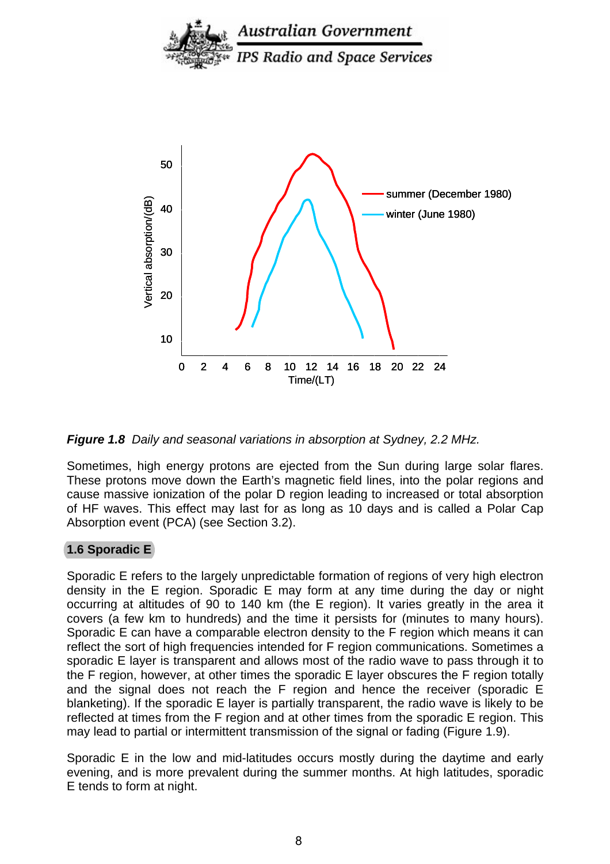

*Figure 1.8 Daily and seasonal variations in absorption at Sydney, 2.2 MHz.* 

Sometimes, high energy protons are ejected from the Sun during large solar flares. These protons move down the Earth's magnetic field lines, into the polar regions and cause massive ionization of the polar D region leading to increased or total absorption of HF waves. This effect may last for as long as 10 days and is called a Polar Cap Absorption event (PCA) (see Section 3.2).

#### **1.6 Sporadic E**

Sporadic E refers to the largely unpredictable formation of regions of very high electron density in the E region. Sporadic E may form at any time during the day or night occurring at altitudes of 90 to 140 km (the E region). It varies greatly in the area it covers (a few km to hundreds) and the time it persists for (minutes to many hours). Sporadic E can have a comparable electron density to the F region which means it can reflect the sort of high frequencies intended for F region communications. Sometimes a sporadic E layer is transparent and allows most of the radio wave to pass through it to the F region, however, at other times the sporadic E layer obscures the F region totally and the signal does not reach the F region and hence the receiver (sporadic E blanketing). If the sporadic E layer is partially transparent, the radio wave is likely to be reflected at times from the F region and at other times from the sporadic E region. This may lead to partial or intermittent transmission of the signal or fading (Figure 1.9).

Sporadic E in the low and mid-latitudes occurs mostly during the daytime and early evening, and is more prevalent during the summer months. At high latitudes, sporadic E tends to form at night.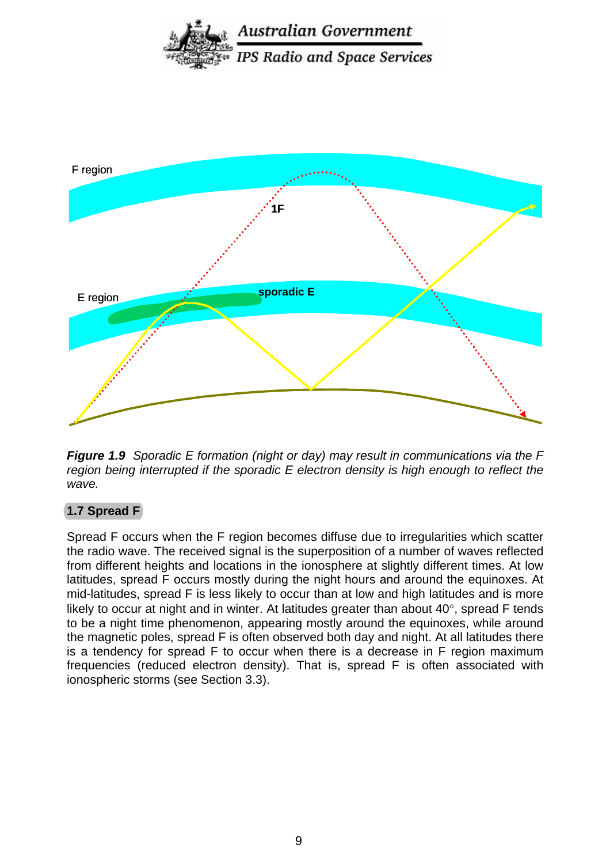



*Figure 1.9 Sporadic E formation (night or day) may result in communications via the F region being interrupted if the sporadic E electron density is high enough to reflect the wave.*

#### **1.7 Spread F**

Spread F occurs when the F region becomes diffuse due to irregularities which scatter the radio wave. The received signal is the superposition of a number of waves reflected from different heights and locations in the ionosphere at slightly different times. At low latitudes, spread F occurs mostly during the night hours and around the equinoxes. At mid-latitudes, spread F is less likely to occur than at low and high latitudes and is more likely to occur at night and in winter. At latitudes greater than about 40°, spread F tends to be a night time phenomenon, appearing mostly around the equinoxes, while around the magnetic poles, spread F is often observed both day and night. At all latitudes there is a tendency for spread F to occur when there is a decrease in F region maximum frequencies (reduced electron density). That is, spread F is often associated with ionospheric storms (see Section 3.3).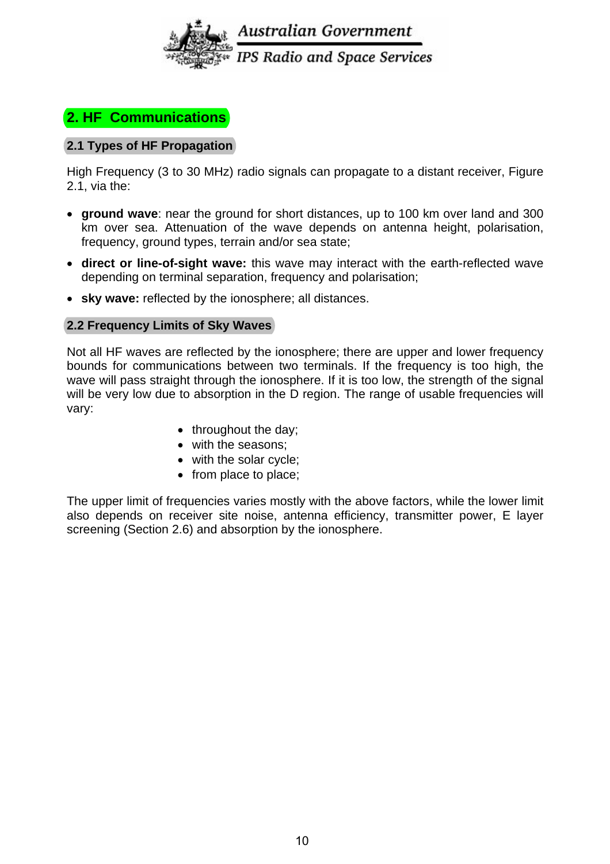

# **2. HF Communications**

## **2.1 Types of HF Propagation**

High Frequency (3 to 30 MHz) radio signals can propagate to a distant receiver, Figure 2.1, via the:

- **ground wave**: near the ground for short distances, up to 100 km over land and 300 km over sea. Attenuation of the wave depends on antenna height, polarisation, frequency, ground types, terrain and/or sea state;
- **direct or line-of-sight wave:** this wave may interact with the earth-reflected wave depending on terminal separation, frequency and polarisation;
- **sky wave:** reflected by the ionosphere; all distances.

#### **2.2 Frequency Limits of Sky Waves**

Not all HF waves are reflected by the ionosphere; there are upper and lower frequency bounds for communications between two terminals. If the frequency is too high, the wave will pass straight through the ionosphere. If it is too low, the strength of the signal will be very low due to absorption in the D region. The range of usable frequencies will vary:

- throughout the day;
- with the seasons;
- with the solar cycle;
- from place to place;

The upper limit of frequencies varies mostly with the above factors, while the lower limit also depends on receiver site noise, antenna efficiency, transmitter power, E layer screening (Section 2.6) and absorption by the ionosphere.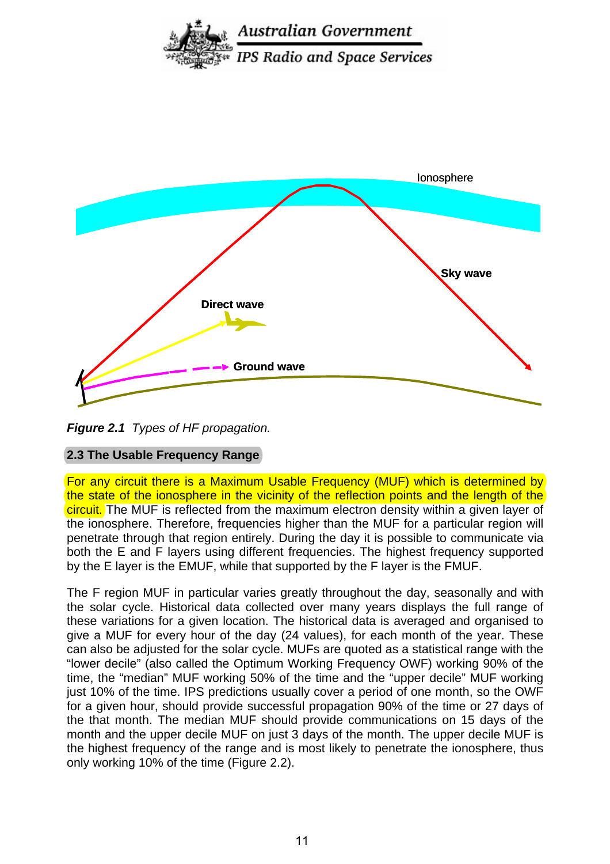



*Figure 2.1 Types of HF propagation.*

# **2.3 The Usable Frequency Range**

For any circuit there is a Maximum Usable Frequency (MUF) which is determined by the state of the ionosphere in the vicinity of the reflection points and the length of the circuit. The MUF is reflected from the maximum electron density within a given layer of the ionosphere. Therefore, frequencies higher than the MUF for a particular region will penetrate through that region entirely. During the day it is possible to communicate via both the E and F layers using different frequencies. The highest frequency supported by the E layer is the EMUF, while that supported by the F layer is the FMUF.

The F region MUF in particular varies greatly throughout the day, seasonally and with the solar cycle. Historical data collected over many years displays the full range of these variations for a given location. The historical data is averaged and organised to give a MUF for every hour of the day (24 values), for each month of the year. These can also be adjusted for the solar cycle. MUFs are quoted as a statistical range with the "lower decile" (also called the Optimum Working Frequency OWF) working 90% of the time, the "median" MUF working 50% of the time and the "upper decile" MUF working just 10% of the time. IPS predictions usually cover a period of one month, so the OWF for a given hour, should provide successful propagation 90% of the time or 27 days of the that month. The median MUF should provide communications on 15 days of the month and the upper decile MUF on just 3 days of the month. The upper decile MUF is the highest frequency of the range and is most likely to penetrate the ionosphere, thus only working 10% of the time (Figure 2.2).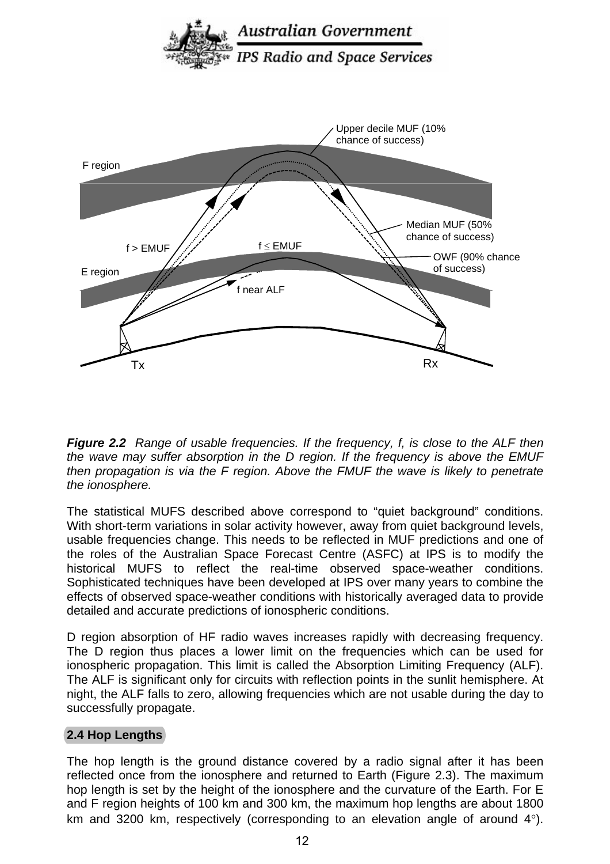

*Figure 2.2 Range of usable frequencies. If the frequency, f, is close to the ALF then the wave may suffer absorption in the D region. If the frequency is above the EMUF then propagation is via the F region. Above the FMUF the wave is likely to penetrate the ionosphere.* 

The statistical MUFS described above correspond to "quiet background" conditions. With short-term variations in solar activity however, away from quiet background levels, usable frequencies change. This needs to be reflected in MUF predictions and one of the roles of the Australian Space Forecast Centre (ASFC) at IPS is to modify the historical MUFS to reflect the real-time observed space-weather conditions. Sophisticated techniques have been developed at IPS over many years to combine the effects of observed space-weather conditions with historically averaged data to provide detailed and accurate predictions of ionospheric conditions.

D region absorption of HF radio waves increases rapidly with decreasing frequency. The D region thus places a lower limit on the frequencies which can be used for ionospheric propagation. This limit is called the Absorption Limiting Frequency (ALF). The ALF is significant only for circuits with reflection points in the sunlit hemisphere. At night, the ALF falls to zero, allowing frequencies which are not usable during the day to successfully propagate.

# **2.4 Hop Lengths**

The hop length is the ground distance covered by a radio signal after it has been reflected once from the ionosphere and returned to Earth (Figure 2.3). The maximum hop length is set by the height of the ionosphere and the curvature of the Earth. For E and F region heights of 100 km and 300 km, the maximum hop lengths are about 1800 km and 3200 km, respectively (corresponding to an elevation angle of around 4°).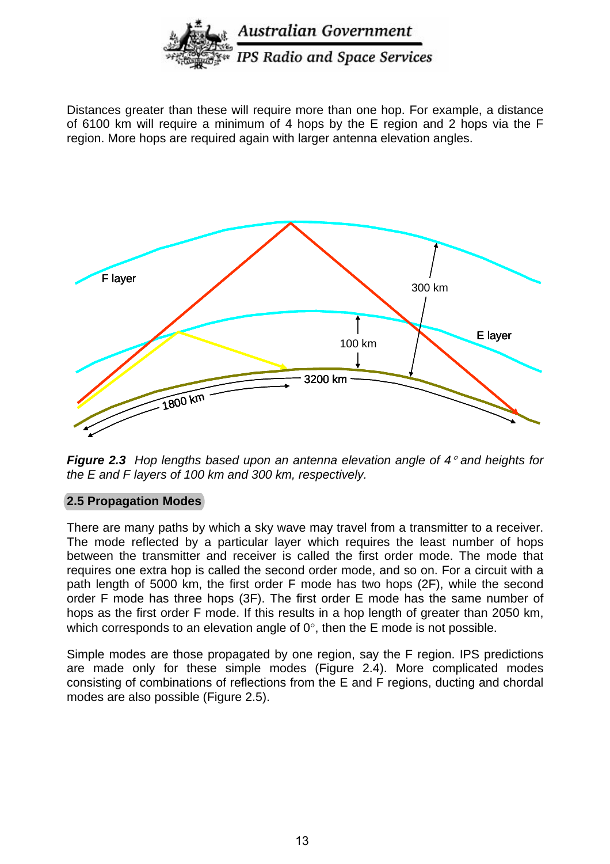

Distances greater than these will require more than one hop. For example, a distance of 6100 km will require a minimum of 4 hops by the E region and 2 hops via the F region. More hops are required again with larger antenna elevation angles.



*Figure 2.3 Hop lengths based upon an antenna elevation angle of 4*° *and heights for the E and F layers of 100 km and 300 km, respectively.* 

#### **2.5 Propagation Modes**

There are many paths by which a sky wave may travel from a transmitter to a receiver. The mode reflected by a particular layer which requires the least number of hops between the transmitter and receiver is called the first order mode. The mode that requires one extra hop is called the second order mode, and so on. For a circuit with a path length of 5000 km, the first order F mode has two hops (2F), while the second order F mode has three hops (3F). The first order E mode has the same number of hops as the first order F mode. If this results in a hop length of greater than 2050 km, which corresponds to an elevation angle of  $0^\circ$ , then the E mode is not possible.

Simple modes are those propagated by one region, say the F region. IPS predictions are made only for these simple modes (Figure 2.4). More complicated modes consisting of combinations of reflections from the E and F regions, ducting and chordal modes are also possible (Figure 2.5).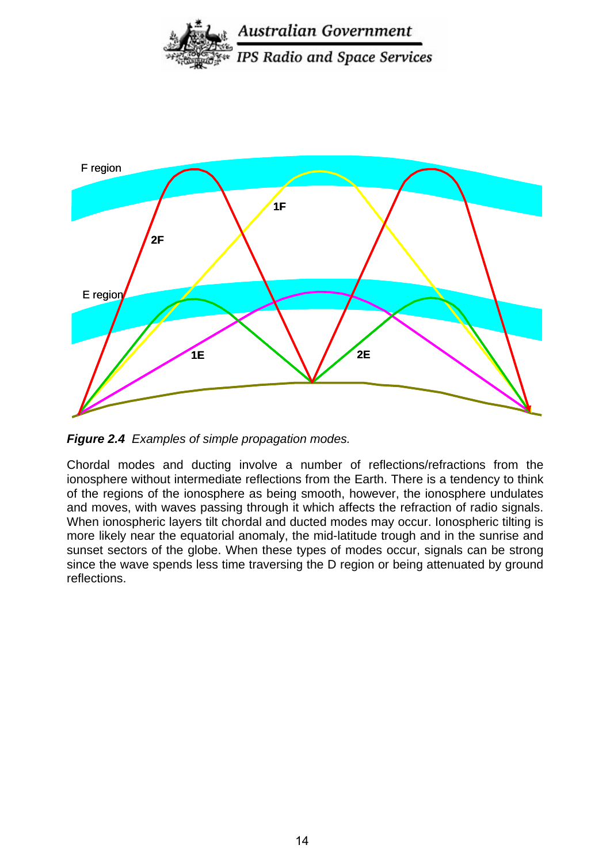



*Figure 2.4 Examples of simple propagation modes.* 

Chordal modes and ducting involve a number of reflections/refractions from the ionosphere without intermediate reflections from the Earth. There is a tendency to think of the regions of the ionosphere as being smooth, however, the ionosphere undulates and moves, with waves passing through it which affects the refraction of radio signals. When ionospheric layers tilt chordal and ducted modes may occur. Ionospheric tilting is more likely near the equatorial anomaly, the mid-latitude trough and in the sunrise and sunset sectors of the globe. When these types of modes occur, signals can be strong since the wave spends less time traversing the D region or being attenuated by ground reflections.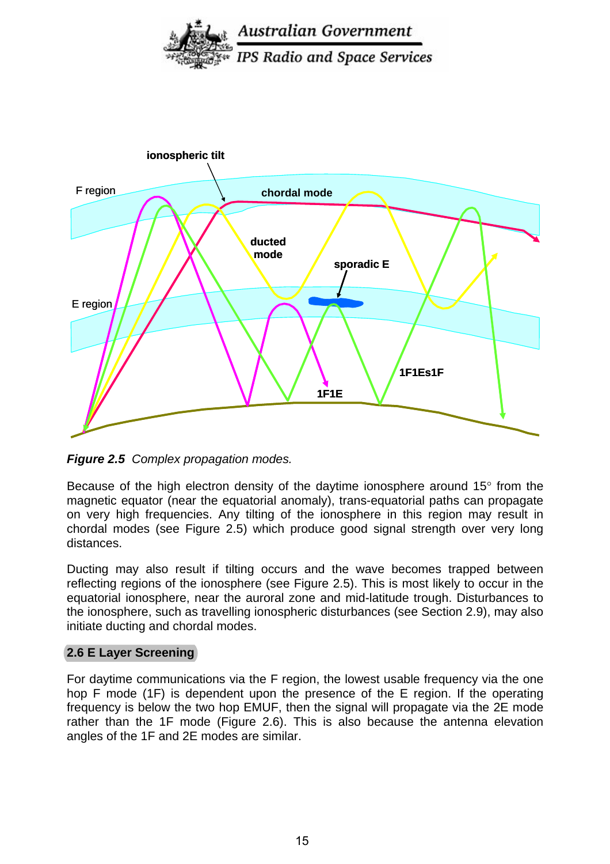



*Figure 2.5 Complex propagation modes.* 

Because of the high electron density of the daytime ionosphere around 15° from the magnetic equator (near the equatorial anomaly), trans-equatorial paths can propagate on very high frequencies. Any tilting of the ionosphere in this region may result in chordal modes (see Figure 2.5) which produce good signal strength over very long distances.

Ducting may also result if tilting occurs and the wave becomes trapped between reflecting regions of the ionosphere (see Figure 2.5). This is most likely to occur in the equatorial ionosphere, near the auroral zone and mid-latitude trough. Disturbances to the ionosphere, such as travelling ionospheric disturbances (see Section 2.9), may also initiate ducting and chordal modes.

#### **2.6 E Layer Screening**

For daytime communications via the F region, the lowest usable frequency via the one hop F mode (1F) is dependent upon the presence of the E region. If the operating frequency is below the two hop EMUF, then the signal will propagate via the 2E mode rather than the 1F mode (Figure 2.6). This is also because the antenna elevation angles of the 1F and 2E modes are similar.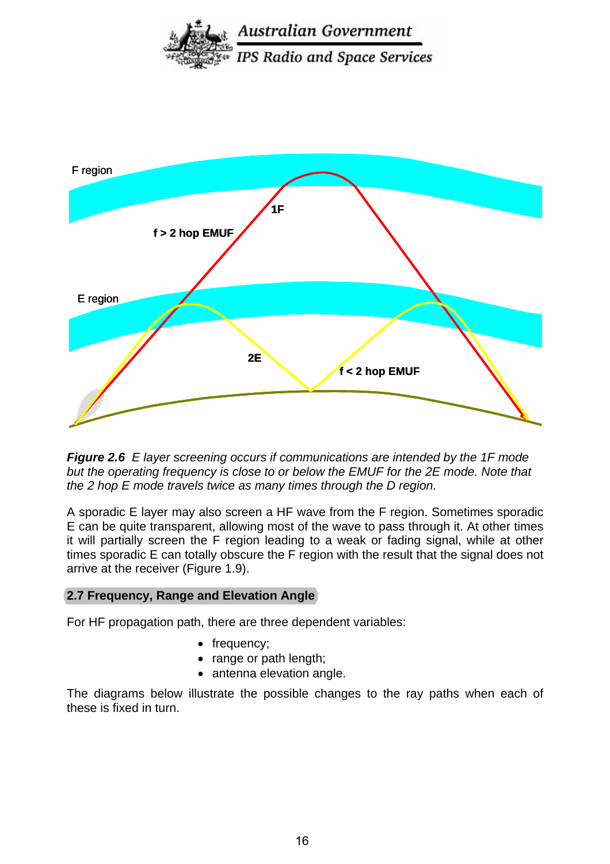



*Figure 2.6 E layer screening occurs if communications are intended by the 1F mode but the operating frequency is close to or below the EMUF for the 2E mode. Note that the 2 hop E mode travels twice as many times through the D region.* 

A sporadic E layer may also screen a HF wave from the F region. Sometimes sporadic E can be quite transparent, allowing most of the wave to pass through it. At other times it will partially screen the F region leading to a weak or fading signal, while at other times sporadic E can totally obscure the F region with the result that the signal does not arrive at the receiver (Figure 1.9).

#### **2.7 Frequency, Range and Elevation Angle**

For HF propagation path, there are three dependent variables:

- frequency;
- range or path length;
- antenna elevation angle.

The diagrams below illustrate the possible changes to the ray paths when each of these is fixed in turn.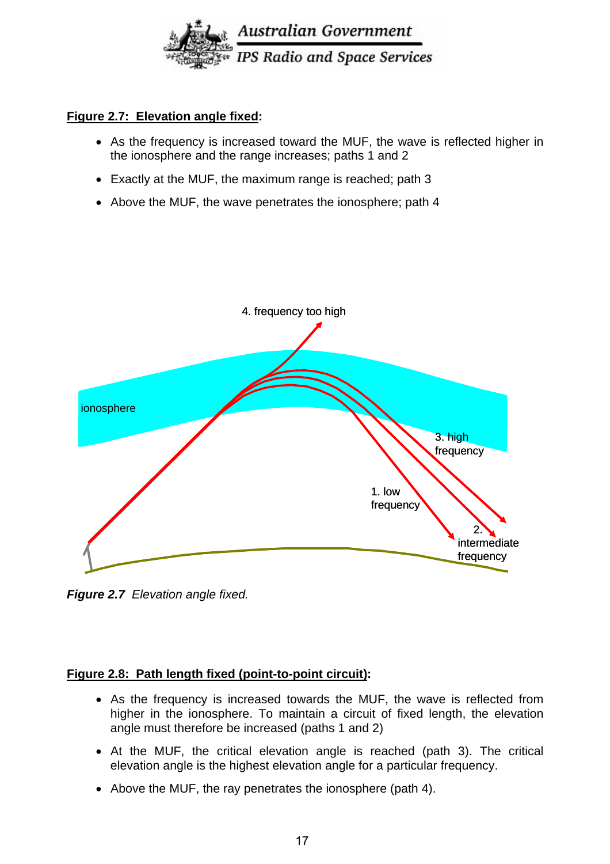

#### **Figure 2.7: Elevation angle fixed:**

- As the frequency is increased toward the MUF, the wave is reflected higher in the ionosphere and the range increases; paths 1 and 2
- Exactly at the MUF, the maximum range is reached; path 3
- Above the MUF, the wave penetrates the ionosphere; path 4



*Figure 2.7 Elevation angle fixed.* 

#### **Figure 2.8: Path length fixed (point-to-point circuit):**

- As the frequency is increased towards the MUF, the wave is reflected from higher in the ionosphere. To maintain a circuit of fixed length, the elevation angle must therefore be increased (paths 1 and 2)
- At the MUF, the critical elevation angle is reached (path 3). The critical elevation angle is the highest elevation angle for a particular frequency.
- Above the MUF, the ray penetrates the ionosphere (path 4).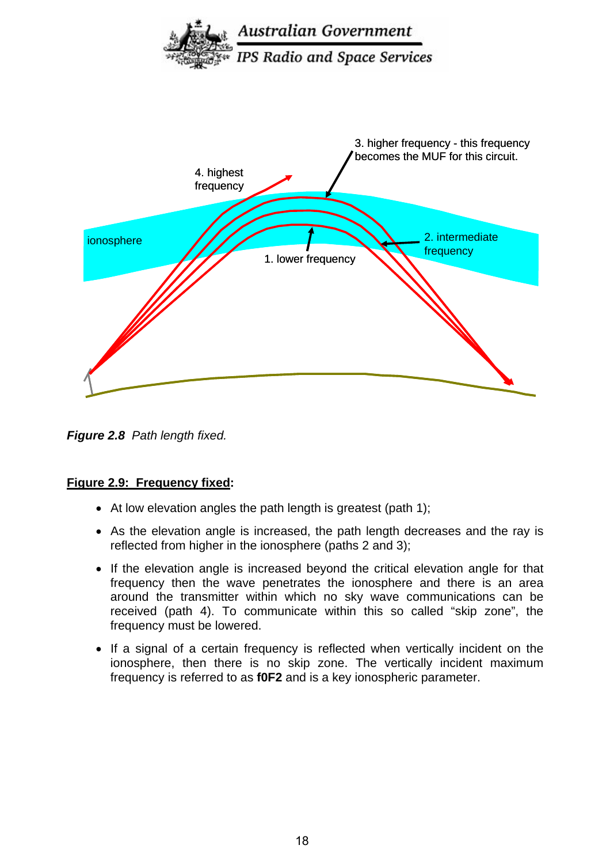



*Figure 2.8 Path length fixed.* 

#### **Figure 2.9: Frequency fixed:**

- At low elevation angles the path length is greatest (path 1);
- As the elevation angle is increased, the path length decreases and the ray is reflected from higher in the ionosphere (paths 2 and 3);
- If the elevation angle is increased beyond the critical elevation angle for that frequency then the wave penetrates the ionosphere and there is an area around the transmitter within which no sky wave communications can be received (path 4). To communicate within this so called "skip zone", the frequency must be lowered.
- If a signal of a certain frequency is reflected when vertically incident on the ionosphere, then there is no skip zone. The vertically incident maximum frequency is referred to as **f0F2** and is a key ionospheric parameter.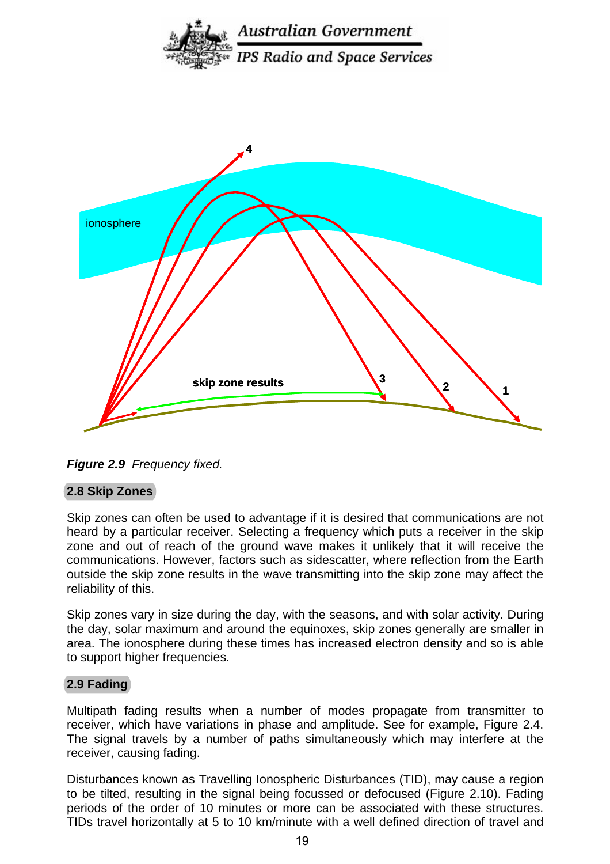



*Figure 2.9 Frequency fixed.* 

# **2.8 Skip Zones**

Skip zones can often be used to advantage if it is desired that communications are not heard by a particular receiver. Selecting a frequency which puts a receiver in the skip zone and out of reach of the ground wave makes it unlikely that it will receive the communications. However, factors such as sidescatter, where reflection from the Earth outside the skip zone results in the wave transmitting into the skip zone may affect the reliability of this.

Skip zones vary in size during the day, with the seasons, and with solar activity. During the day, solar maximum and around the equinoxes, skip zones generally are smaller in area. The ionosphere during these times has increased electron density and so is able to support higher frequencies.

#### **2.9 Fading**

Multipath fading results when a number of modes propagate from transmitter to receiver, which have variations in phase and amplitude. See for example, Figure 2.4. The signal travels by a number of paths simultaneously which may interfere at the receiver, causing fading.

Disturbances known as Travelling Ionospheric Disturbances (TID), may cause a region to be tilted, resulting in the signal being focussed or defocused (Figure 2.10). Fading periods of the order of 10 minutes or more can be associated with these structures. TIDs travel horizontally at 5 to 10 km/minute with a well defined direction of travel and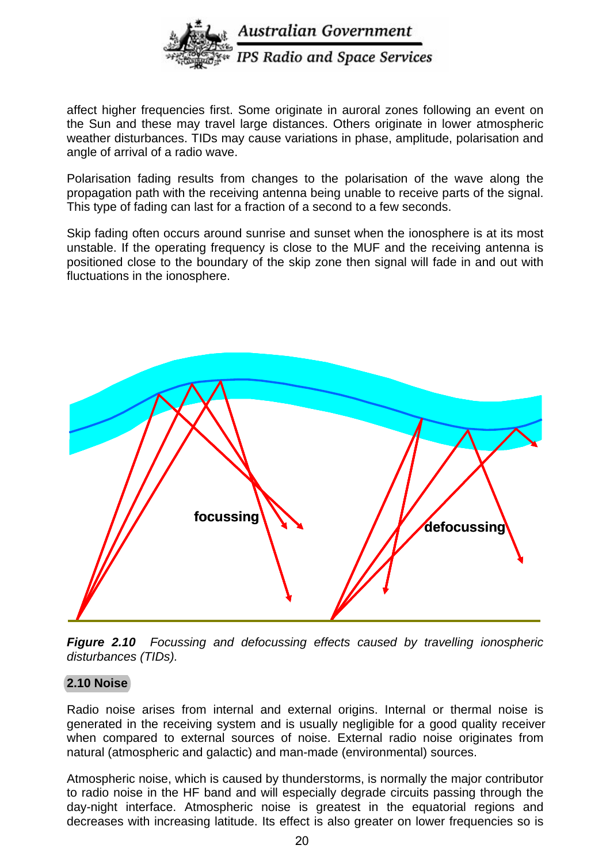

affect higher frequencies first. Some originate in auroral zones following an event on the Sun and these may travel large distances. Others originate in lower atmospheric weather disturbances. TIDs may cause variations in phase, amplitude, polarisation and angle of arrival of a radio wave.

Polarisation fading results from changes to the polarisation of the wave along the propagation path with the receiving antenna being unable to receive parts of the signal. This type of fading can last for a fraction of a second to a few seconds.

Skip fading often occurs around sunrise and sunset when the ionosphere is at its most unstable. If the operating frequency is close to the MUF and the receiving antenna is positioned close to the boundary of the skip zone then signal will fade in and out with fluctuations in the ionosphere.



*Figure 2.10 Focussing and defocussing effects caused by travelling ionospheric disturbances (TIDs).* 

#### **2.10 Noise**

Radio noise arises from internal and external origins. Internal or thermal noise is generated in the receiving system and is usually negligible for a good quality receiver when compared to external sources of noise. External radio noise originates from natural (atmospheric and galactic) and man-made (environmental) sources.

Atmospheric noise, which is caused by thunderstorms, is normally the major contributor to radio noise in the HF band and will especially degrade circuits passing through the day-night interface. Atmospheric noise is greatest in the equatorial regions and decreases with increasing latitude. Its effect is also greater on lower frequencies so is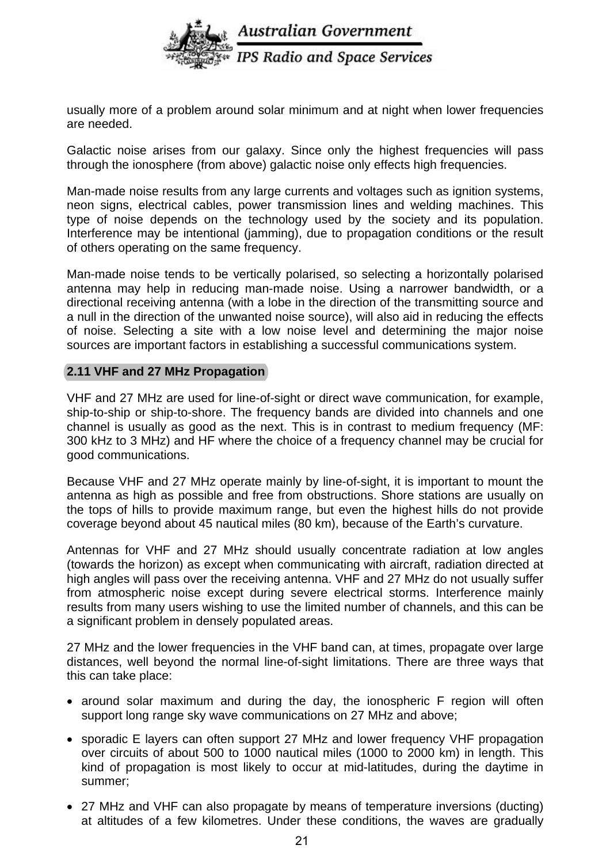

usually more of a problem around solar minimum and at night when lower frequencies are needed.

Galactic noise arises from our galaxy. Since only the highest frequencies will pass through the ionosphere (from above) galactic noise only effects high frequencies.

Man-made noise results from any large currents and voltages such as ignition systems, neon signs, electrical cables, power transmission lines and welding machines. This type of noise depends on the technology used by the society and its population. Interference may be intentional (jamming), due to propagation conditions or the result of others operating on the same frequency.

Man-made noise tends to be vertically polarised, so selecting a horizontally polarised antenna may help in reducing man-made noise. Using a narrower bandwidth, or a directional receiving antenna (with a lobe in the direction of the transmitting source and a null in the direction of the unwanted noise source), will also aid in reducing the effects of noise. Selecting a site with a low noise level and determining the major noise sources are important factors in establishing a successful communications system.

#### **2.11 VHF and 27 MHz Propagation**

VHF and 27 MHz are used for line-of-sight or direct wave communication, for example, ship-to-ship or ship-to-shore. The frequency bands are divided into channels and one channel is usually as good as the next. This is in contrast to medium frequency (MF: 300 kHz to 3 MHz) and HF where the choice of a frequency channel may be crucial for good communications.

Because VHF and 27 MHz operate mainly by line-of-sight, it is important to mount the antenna as high as possible and free from obstructions. Shore stations are usually on the tops of hills to provide maximum range, but even the highest hills do not provide coverage beyond about 45 nautical miles (80 km), because of the Earth's curvature.

Antennas for VHF and 27 MHz should usually concentrate radiation at low angles (towards the horizon) as except when communicating with aircraft, radiation directed at high angles will pass over the receiving antenna. VHF and 27 MHz do not usually suffer from atmospheric noise except during severe electrical storms. Interference mainly results from many users wishing to use the limited number of channels, and this can be a significant problem in densely populated areas.

27 MHz and the lower frequencies in the VHF band can, at times, propagate over large distances, well beyond the normal line-of-sight limitations. There are three ways that this can take place:

- around solar maximum and during the day, the ionospheric F region will often support long range sky wave communications on 27 MHz and above;
- sporadic E layers can often support 27 MHz and lower frequency VHF propagation over circuits of about 500 to 1000 nautical miles (1000 to 2000 km) in length. This kind of propagation is most likely to occur at mid-latitudes, during the daytime in summer;
- 27 MHz and VHF can also propagate by means of temperature inversions (ducting) at altitudes of a few kilometres. Under these conditions, the waves are gradually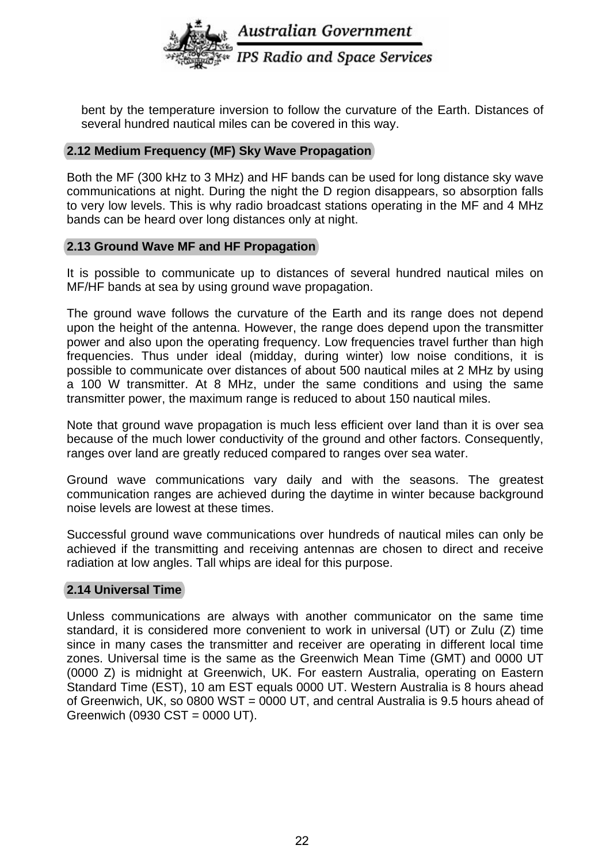

bent by the temperature inversion to follow the curvature of the Earth. Distances of several hundred nautical miles can be covered in this way.

#### **2.12 Medium Frequency (MF) Sky Wave Propagation**

Both the MF (300 kHz to 3 MHz) and HF bands can be used for long distance sky wave communications at night. During the night the D region disappears, so absorption falls to very low levels. This is why radio broadcast stations operating in the MF and 4 MHz bands can be heard over long distances only at night.

#### **2.13 Ground Wave MF and HF Propagation**

It is possible to communicate up to distances of several hundred nautical miles on MF/HF bands at sea by using ground wave propagation.

The ground wave follows the curvature of the Earth and its range does not depend upon the height of the antenna. However, the range does depend upon the transmitter power and also upon the operating frequency. Low frequencies travel further than high frequencies. Thus under ideal (midday, during winter) low noise conditions, it is possible to communicate over distances of about 500 nautical miles at 2 MHz by using a 100 W transmitter. At 8 MHz, under the same conditions and using the same transmitter power, the maximum range is reduced to about 150 nautical miles.

Note that ground wave propagation is much less efficient over land than it is over sea because of the much lower conductivity of the ground and other factors. Consequently, ranges over land are greatly reduced compared to ranges over sea water.

Ground wave communications vary daily and with the seasons. The greatest communication ranges are achieved during the daytime in winter because background noise levels are lowest at these times.

Successful ground wave communications over hundreds of nautical miles can only be achieved if the transmitting and receiving antennas are chosen to direct and receive radiation at low angles. Tall whips are ideal for this purpose.

#### **2.14 Universal Time**

Unless communications are always with another communicator on the same time standard, it is considered more convenient to work in universal (UT) or Zulu (Z) time since in many cases the transmitter and receiver are operating in different local time zones. Universal time is the same as the Greenwich Mean Time (GMT) and 0000 UT (0000 Z) is midnight at Greenwich, UK. For eastern Australia, operating on Eastern Standard Time (EST), 10 am EST equals 0000 UT. Western Australia is 8 hours ahead of Greenwich, UK, so 0800 WST = 0000 UT, and central Australia is 9.5 hours ahead of Greenwich (0930 CST = 0000 UT).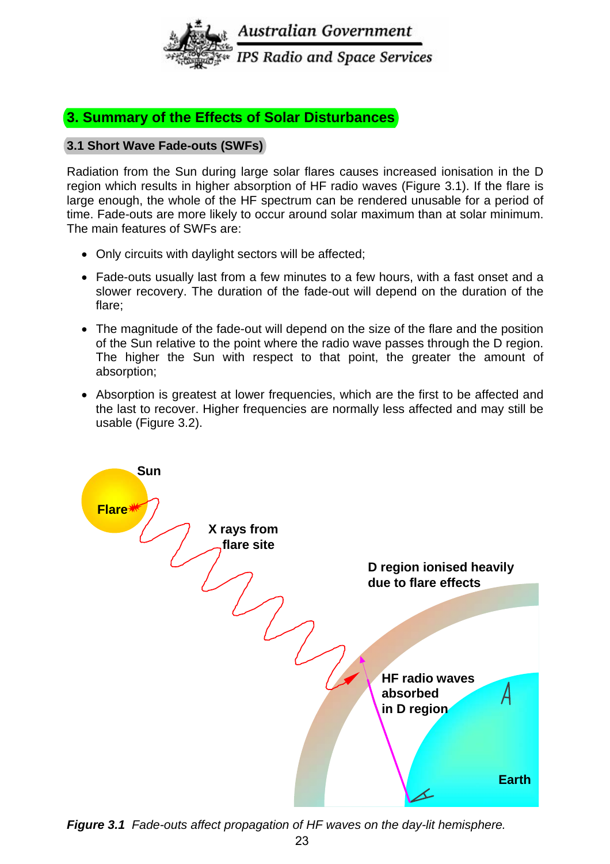

# **3. Summary of the Effects of Solar Disturbances**

#### **3.1 Short Wave Fade-outs (SWFs)**

Radiation from the Sun during large solar flares causes increased ionisation in the D region which results in higher absorption of HF radio waves (Figure 3.1). If the flare is large enough, the whole of the HF spectrum can be rendered unusable for a period of time. Fade-outs are more likely to occur around solar maximum than at solar minimum. The main features of SWFs are:

- Only circuits with daylight sectors will be affected;
- Fade-outs usually last from a few minutes to a few hours, with a fast onset and a slower recovery. The duration of the fade-out will depend on the duration of the flare;
- The magnitude of the fade-out will depend on the size of the flare and the position of the Sun relative to the point where the radio wave passes through the D region. The higher the Sun with respect to that point, the greater the amount of absorption;
- Absorption is greatest at lower frequencies, which are the first to be affected and the last to recover. Higher frequencies are normally less affected and may still be usable (Figure 3.2).



*Figure 3.1 Fade-outs affect propagation of HF waves on the day-lit hemisphere.*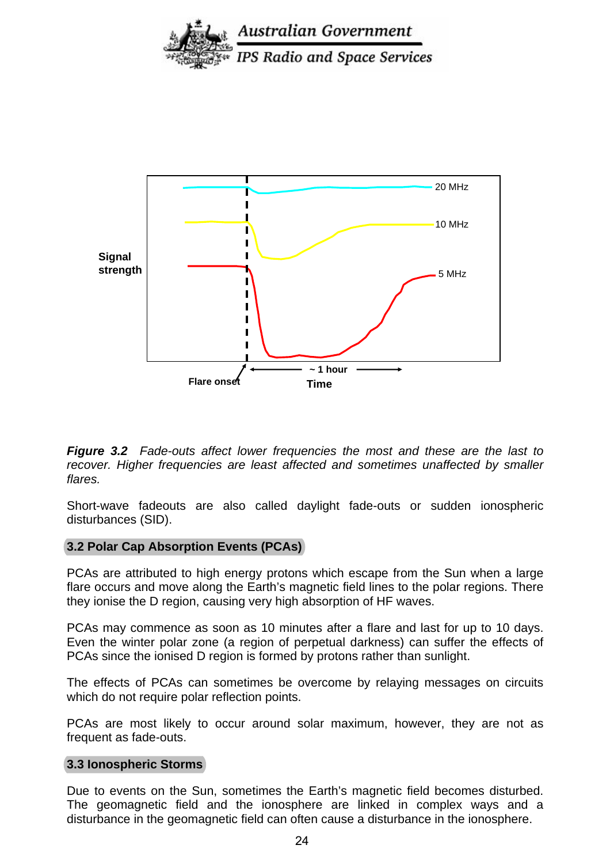



*Figure 3.2 Fade-outs affect lower frequencies the most and these are the last to*  recover. Higher frequencies are least affected and sometimes unaffected by smaller *flares.* 

Short-wave fadeouts are also called daylight fade-outs or sudden ionospheric disturbances (SID).

#### **3.2 Polar Cap Absorption Events (PCAs)**

PCAs are attributed to high energy protons which escape from the Sun when a large flare occurs and move along the Earth's magnetic field lines to the polar regions. There they ionise the D region, causing very high absorption of HF waves.

PCAs may commence as soon as 10 minutes after a flare and last for up to 10 days. Even the winter polar zone (a region of perpetual darkness) can suffer the effects of PCAs since the ionised D region is formed by protons rather than sunlight.

The effects of PCAs can sometimes be overcome by relaying messages on circuits which do not require polar reflection points.

PCAs are most likely to occur around solar maximum, however, they are not as frequent as fade-outs.

#### **3.3 Ionospheric Storms**

Due to events on the Sun, sometimes the Earth's magnetic field becomes disturbed. The geomagnetic field and the ionosphere are linked in complex ways and a disturbance in the geomagnetic field can often cause a disturbance in the ionosphere.